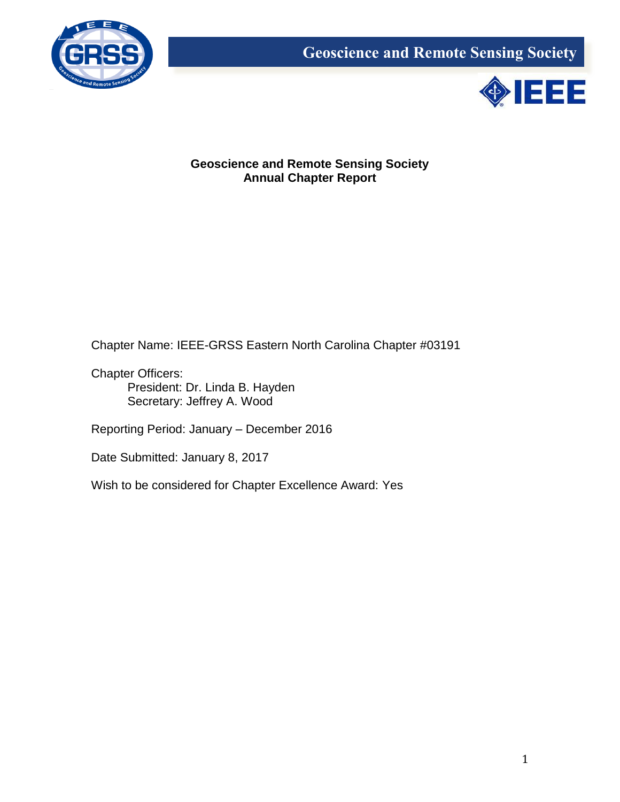



# **Geoscience and Remote Sensing Society Annual Chapter Report**

Chapter Name: IEEE-GRSS Eastern North Carolina Chapter #03191

Chapter Officers: President: Dr. Linda B. Hayden Secretary: Jeffrey A. Wood

Reporting Period: January – December 2016

Date Submitted: January 8, 2017

Wish to be considered for Chapter Excellence Award: Yes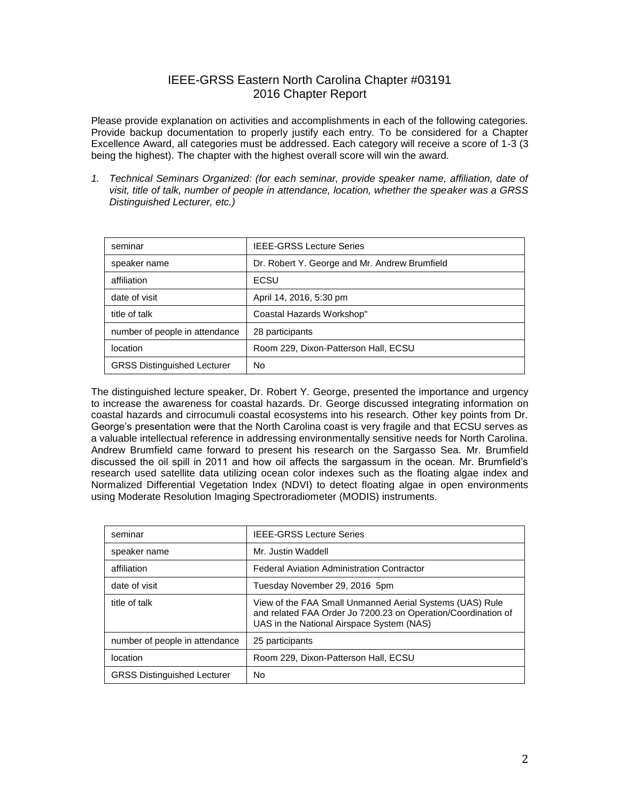# IEEE-GRSS Eastern North Carolina Chapter #03191 2016 Chapter Report

Please provide explanation on activities and accomplishments in each of the following categories. Provide backup documentation to properly justify each entry. To be considered for a Chapter Excellence Award, all categories must be addressed. Each category will receive a score of 1-3 (3 being the highest). The chapter with the highest overall score will win the award.

*1. Technical Seminars Organized: (for each seminar, provide speaker name, affiliation, date of visit, title of talk, number of people in attendance, location, whether the speaker was a GRSS Distinguished Lecturer, etc.)*

| seminar                            | <b>IEEE-GRSS Lecture Series</b>               |
|------------------------------------|-----------------------------------------------|
| speaker name                       | Dr. Robert Y. George and Mr. Andrew Brumfield |
| affiliation                        | ECSU                                          |
| date of visit                      | April 14, 2016, 5:30 pm                       |
| title of talk                      | Coastal Hazards Workshop"                     |
| number of people in attendance     | 28 participants                               |
| location                           | Room 229, Dixon-Patterson Hall, ECSU          |
| <b>GRSS Distinguished Lecturer</b> | No                                            |

The distinguished lecture speaker, Dr. Robert Y. George, presented the importance and urgency to increase the awareness for coastal hazards. Dr. George discussed integrating information on coastal hazards and cirrocumuli coastal ecosystems into his research. Other key points from Dr. George's presentation were that the North Carolina coast is very fragile and that ECSU serves as a valuable intellectual reference in addressing environmentally sensitive needs for North Carolina. Andrew Brumfield came forward to present his research on the Sargasso Sea. Mr. Brumfield discussed the oil spill in 2011 and how oil affects the sargassum in the ocean. Mr. Brumfield's research used satellite data utilizing ocean color indexes such as the floating algae index and Normalized Differential Vegetation Index (NDVI) to detect floating algae in open environments using Moderate Resolution Imaging Spectroradiometer (MODIS) instruments.

| seminar                            | <b>IEEE-GRSS Lecture Series</b>                                                                                                                                        |
|------------------------------------|------------------------------------------------------------------------------------------------------------------------------------------------------------------------|
| speaker name                       | Mr. Justin Waddell                                                                                                                                                     |
| affiliation                        | <b>Federal Aviation Administration Contractor</b>                                                                                                                      |
| date of visit                      | Tuesday November 29, 2016 5pm                                                                                                                                          |
| title of talk                      | View of the FAA Small Unmanned Aerial Systems (UAS) Rule<br>and related FAA Order Jo 7200.23 on Operation/Coordination of<br>UAS in the National Airspace System (NAS) |
| number of people in attendance     | 25 participants                                                                                                                                                        |
| location                           | Room 229, Dixon-Patterson Hall, ECSU                                                                                                                                   |
| <b>GRSS Distinguished Lecturer</b> | No                                                                                                                                                                     |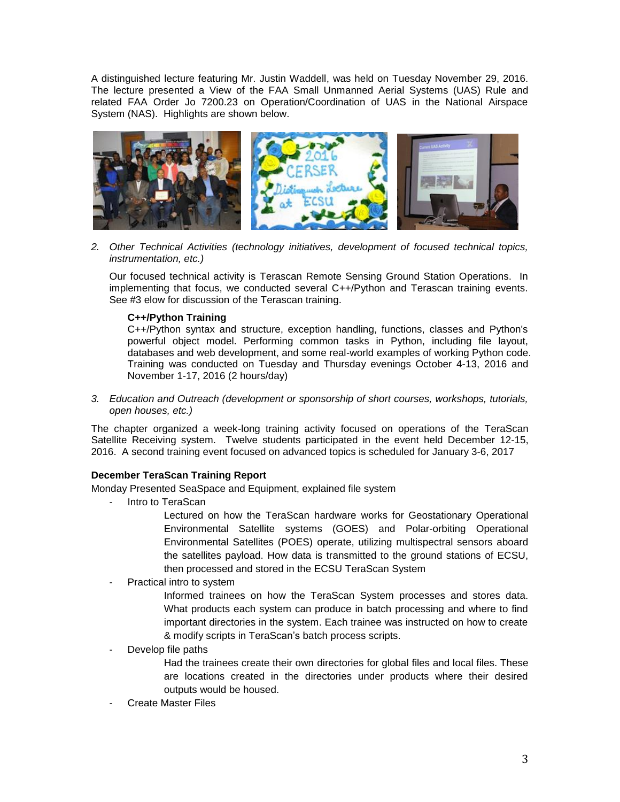A distinguished lecture featuring Mr. Justin Waddell, was held on Tuesday November 29, 2016. The lecture presented a View of the FAA Small Unmanned Aerial Systems (UAS) Rule and related FAA Order Jo 7200.23 on Operation/Coordination of UAS in the National Airspace System (NAS). Highlights are shown below.



*2. Other Technical Activities (technology initiatives, development of focused technical topics, instrumentation, etc.)*

Our focused technical activity is Terascan Remote Sensing Ground Station Operations. In implementing that focus, we conducted several C++/Python and Terascan training events. See #3 elow for discussion of the Terascan training.

### **C++/Python Training**

C++/Python syntax and structure, exception handling, functions, classes and Python's powerful object model. Performing common tasks in Python, including file layout, databases and web development, and some real-world examples of working Python code. Training was conducted on Tuesday and Thursday evenings October 4-13, 2016 and November 1-17, 2016 (2 hours/day)

*3. Education and Outreach (development or sponsorship of short courses, workshops, tutorials, open houses, etc.)*

The chapter organized a week-long training activity focused on operations of the TeraScan Satellite Receiving system. Twelve students participated in the event held December 12-15, 2016. A second training event focused on advanced topics is scheduled for January 3-6, 2017

#### **December TeraScan Training Report**

Monday Presented SeaSpace and Equipment, explained file system

- Intro to TeraScan

Lectured on how the TeraScan hardware works for Geostationary Operational Environmental Satellite systems (GOES) and Polar-orbiting Operational Environmental Satellites (POES) operate, utilizing multispectral sensors aboard the satellites payload. How data is transmitted to the ground stations of ECSU, then processed and stored in the ECSU TeraScan System

Practical intro to system

Informed trainees on how the TeraScan System processes and stores data. What products each system can produce in batch processing and where to find important directories in the system. Each trainee was instructed on how to create & modify scripts in TeraScan's batch process scripts.

Develop file paths

Had the trainees create their own directories for global files and local files. These are locations created in the directories under products where their desired outputs would be housed.

**Create Master Files**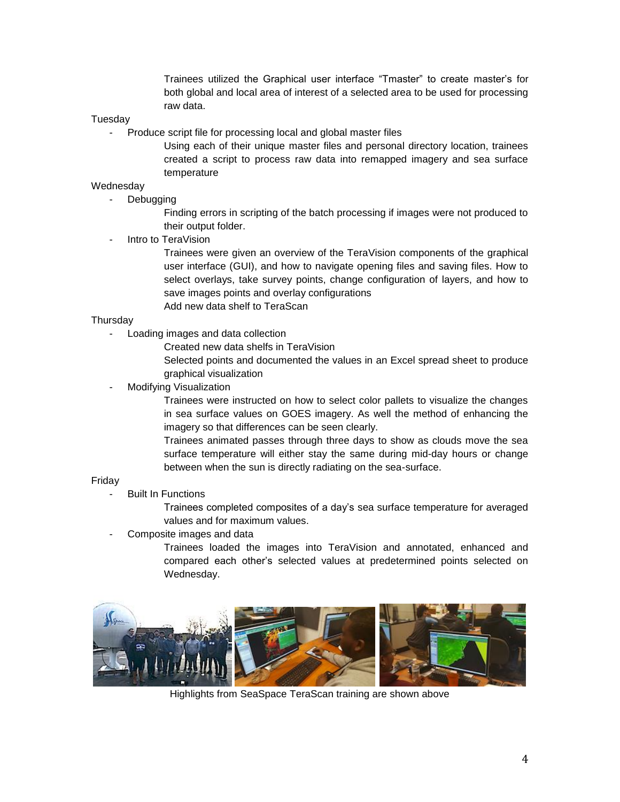Trainees utilized the Graphical user interface "Tmaster" to create master's for both global and local area of interest of a selected area to be used for processing raw data.

#### **Tuesdav**

Produce script file for processing local and global master files

Using each of their unique master files and personal directory location, trainees created a script to process raw data into remapped imagery and sea surface temperature

## **Wednesday**

- Debugging

Finding errors in scripting of the batch processing if images were not produced to their output folder.

Intro to TeraVision

Trainees were given an overview of the TeraVision components of the graphical user interface (GUI), and how to navigate opening files and saving files. How to select overlays, take survey points, change configuration of layers, and how to save images points and overlay configurations Add new data shelf to TeraScan

#### **Thursdav**

- Loading images and data collection
	- Created new data shelfs in TeraVision

Selected points and documented the values in an Excel spread sheet to produce graphical visualization

Modifying Visualization

Trainees were instructed on how to select color pallets to visualize the changes in sea surface values on GOES imagery. As well the method of enhancing the imagery so that differences can be seen clearly.

Trainees animated passes through three days to show as clouds move the sea surface temperature will either stay the same during mid-day hours or change between when the sun is directly radiating on the sea-surface.

#### Friday

**Built In Functions** 

Trainees completed composites of a day's sea surface temperature for averaged values and for maximum values.

Composite images and data

Trainees loaded the images into TeraVision and annotated, enhanced and compared each other's selected values at predetermined points selected on Wednesday.



Highlights from SeaSpace TeraScan training are shown above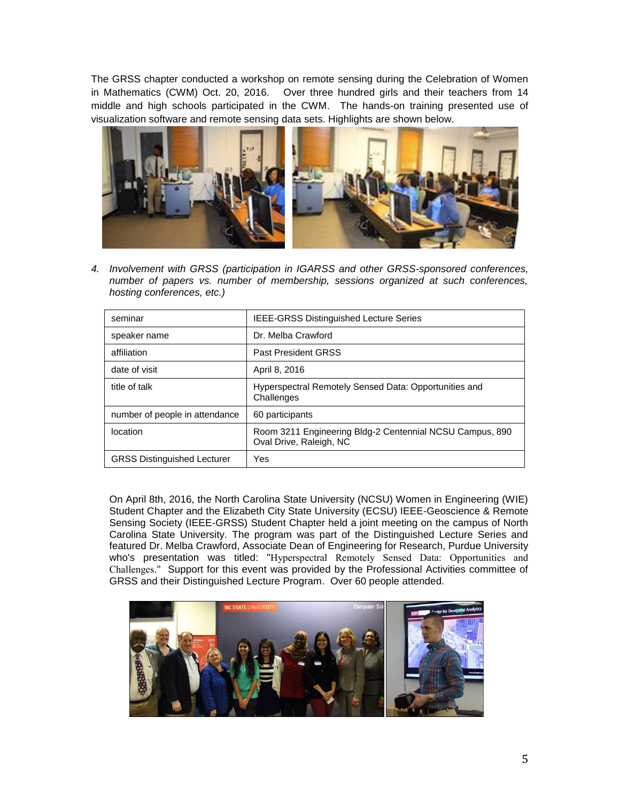The GRSS chapter conducted a workshop on remote sensing during the Celebration of Women in Mathematics (CWM) Oct. 20, 2016. Over three hundred girls and their teachers from 14 middle and high schools participated in the CWM. The hands-on training presented use of visualization software and remote sensing data sets. Highlights are shown below.



*4. Involvement with GRSS (participation in IGARSS and other GRSS-sponsored conferences, number of papers vs. number of membership, sessions organized at such conferences, hosting conferences, etc.)*

| seminar                            | <b>IEEE-GRSS Distinguished Lecture Series</b>                                       |
|------------------------------------|-------------------------------------------------------------------------------------|
| speaker name                       | Dr. Melba Crawford                                                                  |
| affiliation                        | <b>Past President GRSS</b>                                                          |
| date of visit                      | April 8, 2016                                                                       |
| title of talk                      | Hyperspectral Remotely Sensed Data: Opportunities and<br>Challenges                 |
| number of people in attendance     | 60 participants                                                                     |
| location                           | Room 3211 Engineering Bldg-2 Centennial NCSU Campus, 890<br>Oval Drive, Raleigh, NC |
| <b>GRSS Distinguished Lecturer</b> | Yes                                                                                 |

On April 8th, 2016, the North Carolina State University (NCSU) Women in Engineering (WIE) Student Chapter and the Elizabeth City State University (ECSU) IEEE-Geoscience & Remote Sensing Society (IEEE-GRSS) Student Chapter held a joint meeting on the campus of North Carolina State University. The program was part of the Distinguished Lecture Series and featured Dr. Melba Crawford, Associate Dean of Engineering for Research, Purdue University who's presentation was titled: "Hyperspectral Remotely Sensed Data: Opportunities and Challenges." Support for this event was provided by the Professional Activities committee of GRSS and their Distinguished Lecture Program. Over 60 people attended.

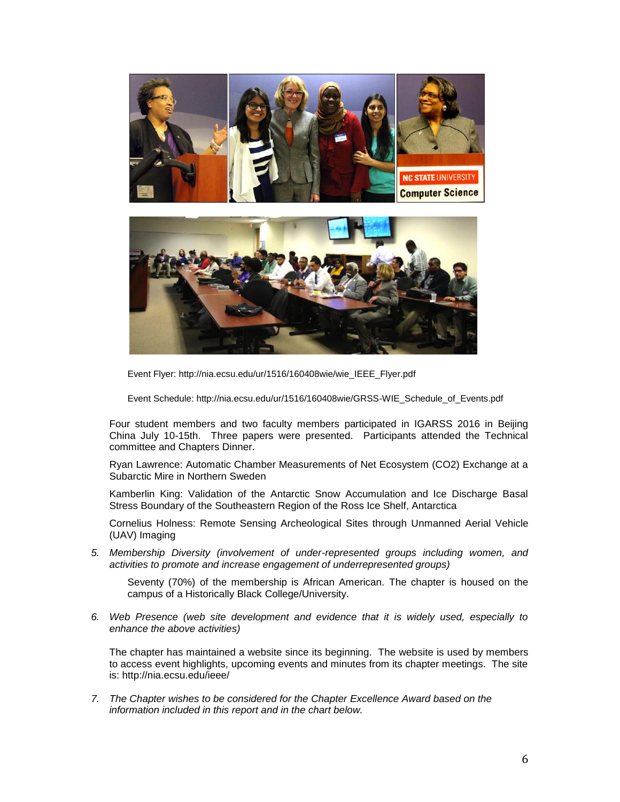

Event Flyer: http://nia.ecsu.edu/ur/1516/160408wie/wie\_IEEE\_Flyer.pdf

Event Schedule: http://nia.ecsu.edu/ur/1516/160408wie/GRSS-WIE\_Schedule\_of\_Events.pdf

Four student members and two faculty members participated in IGARSS 2016 in Beijing China July 10-15th. Three papers were presented. Participants attended the Technical committee and Chapters Dinner.

Ryan Lawrence: Automatic Chamber Measurements of Net Ecosystem (CO2) Exchange at a Subarctic Mire in Northern Sweden

Kamberlin King: Validation of the Antarctic Snow Accumulation and Ice Discharge Basal Stress Boundary of the Southeastern Region of the Ross Ice Shelf, Antarctica

Cornelius Holness: Remote Sensing Archeological Sites through Unmanned Aerial Vehicle (UAV) Imaging

*5. Membership Diversity (involvement of under-represented groups including women, and activities to promote and increase engagement of underrepresented groups)*

Seventy (70%) of the membership is African American. The chapter is housed on the campus of a Historically Black College/University.

*6. Web Presence (web site development and evidence that it is widely used, especially to enhance the above activities)*

The chapter has maintained a website since its beginning. The website is used by members to access event highlights, upcoming events and minutes from its chapter meetings. The site is: http://nia.ecsu.edu/ieee/

*7. The Chapter wishes to be considered for the Chapter Excellence Award based on the information included in this report and in the chart below.*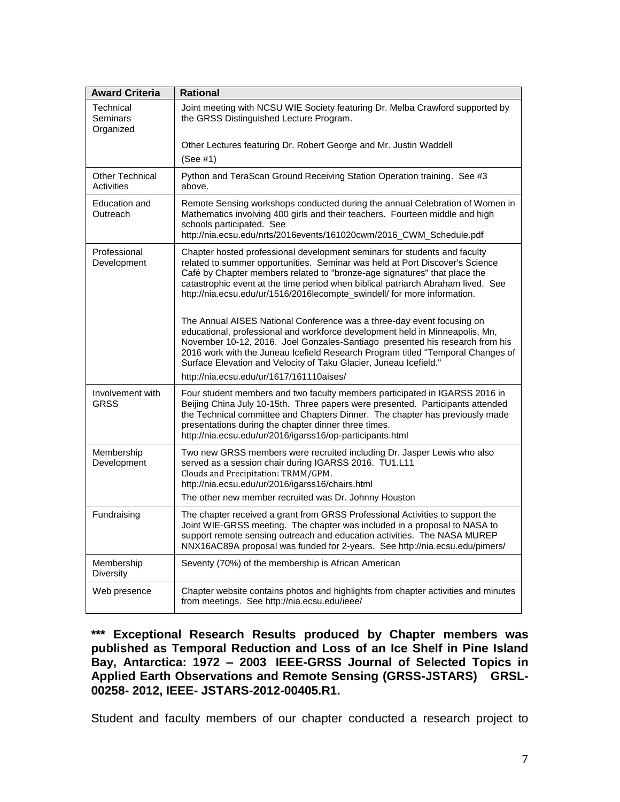| <b>Award Criteria</b>                | <b>Rational</b>                                                                                                                                                                                                                                                                                                                                                                                                                            |
|--------------------------------------|--------------------------------------------------------------------------------------------------------------------------------------------------------------------------------------------------------------------------------------------------------------------------------------------------------------------------------------------------------------------------------------------------------------------------------------------|
| Technical<br>Seminars<br>Organized   | Joint meeting with NCSU WIE Society featuring Dr. Melba Crawford supported by<br>the GRSS Distinguished Lecture Program.                                                                                                                                                                                                                                                                                                                   |
|                                      | Other Lectures featuring Dr. Robert George and Mr. Justin Waddell<br>(See #1)                                                                                                                                                                                                                                                                                                                                                              |
| Other Technical<br><b>Activities</b> | Python and TeraScan Ground Receiving Station Operation training. See #3<br>above.                                                                                                                                                                                                                                                                                                                                                          |
| Education and<br>Outreach            | Remote Sensing workshops conducted during the annual Celebration of Women in<br>Mathematics involving 400 girls and their teachers. Fourteen middle and high<br>schools participated. See<br>http://nia.ecsu.edu/nrts/2016events/161020cwm/2016_CWM_Schedule.pdf                                                                                                                                                                           |
| Professional<br>Development          | Chapter hosted professional development seminars for students and faculty<br>related to summer opportunities. Seminar was held at Port Discover's Science<br>Café by Chapter members related to "bronze-age signatures" that place the<br>catastrophic event at the time period when biblical patriarch Abraham lived. See<br>http://nia.ecsu.edu/ur/1516/2016lecompte_swindell/ for more information.                                     |
|                                      | The Annual AISES National Conference was a three-day event focusing on<br>educational, professional and workforce development held in Minneapolis, Mn,<br>November 10-12, 2016. Joel Gonzales-Santiago presented his research from his<br>2016 work with the Juneau Icefield Research Program titled "Temporal Changes of<br>Surface Elevation and Velocity of Taku Glacier, Juneau Icefield."<br>http://nia.ecsu.edu/ur/1617/161110aises/ |
| Involvement with<br>GRSS             | Four student members and two faculty members participated in IGARSS 2016 in<br>Beijing China July 10-15th. Three papers were presented. Participants attended<br>the Technical committee and Chapters Dinner. The chapter has previously made<br>presentations during the chapter dinner three times.<br>http://nia.ecsu.edu/ur/2016/igarss16/op-participants.html                                                                         |
| Membership<br>Development            | Two new GRSS members were recruited including Dr. Jasper Lewis who also<br>served as a session chair during IGARSS 2016. TU1.L11<br>Clouds and Precipitation: TRMM/GPM.<br>http://nia.ecsu.edu/ur/2016/igarss16/chairs.html<br>The other new member recruited was Dr. Johnny Houston                                                                                                                                                       |
| Fundraising                          | The chapter received a grant from GRSS Professional Activities to support the<br>Joint WIE-GRSS meeting. The chapter was included in a proposal to NASA to<br>support remote sensing outreach and education activities. The NASA MUREP<br>NNX16AC89A proposal was funded for 2-years. See http://nia.ecsu.edu/pimers/                                                                                                                      |
| Membership<br>Diversity              | Seventy (70%) of the membership is African American                                                                                                                                                                                                                                                                                                                                                                                        |
| Web presence                         | Chapter website contains photos and highlights from chapter activities and minutes<br>from meetings. See http://nia.ecsu.edu/ieee/                                                                                                                                                                                                                                                                                                         |

**\*\*\* Exceptional Research Results produced by Chapter members was published as Temporal Reduction and Loss of an Ice Shelf in Pine Island Bay, Antarctica: 1972 – 2003 IEEE-GRSS Journal of Selected Topics in Applied Earth Observations and Remote Sensing (GRSS-JSTARS) GRSL-00258- 2012, IEEE- JSTARS-2012-00405.R1.** 

Student and faculty members of our chapter conducted a research project to